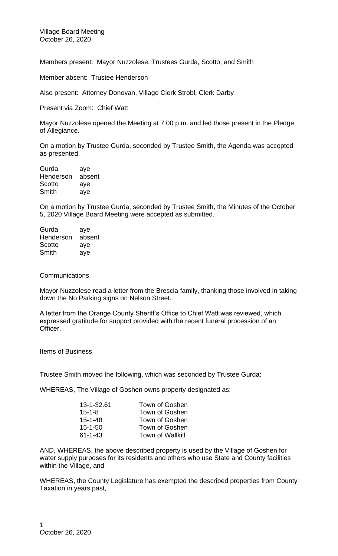Village Board Meeting October 26, 2020

Members present: Mayor Nuzzolese, Trustees Gurda, Scotto, and Smith

Member absent: Trustee Henderson

Also present: Attorney Donovan, Village Clerk Strobl, Clerk Darby

Present via Zoom: Chief Watt

Mayor Nuzzolese opened the Meeting at 7:00 p.m. and led those present in the Pledge of Allegiance.

On a motion by Trustee Gurda, seconded by Trustee Smith, the Agenda was accepted as presented.

Gurda aye Henderson absent Scotto ave Smith aye

On a motion by Trustee Gurda, seconded by Trustee Smith, the Minutes of the October 5, 2020 Village Board Meeting were accepted as submitted.

| Gurda     | aye    |
|-----------|--------|
| Henderson | absent |
| Scotto    | aye    |
| Smith     | aye    |

## **Communications**

Mayor Nuzzolese read a letter from the Brescia family, thanking those involved in taking down the No Parking signs on Nelson Street.

A letter from the Orange County Sheriff's Office to Chief Watt was reviewed, which expressed gratitude for support provided with the recent funeral procession of an Officer.

Items of Business

Trustee Smith moved the following, which was seconded by Trustee Gurda:

WHEREAS, The Village of Goshen owns property designated as:

| 13-1-32.61    | Town of Goshen          |
|---------------|-------------------------|
| $15 - 1 - 8$  | Town of Goshen          |
| $15 - 1 - 48$ | Town of Goshen          |
| $15 - 1 - 50$ | Town of Goshen          |
| $61 - 1 - 43$ | <b>Town of Wallkill</b> |

AND, WHEREAS, the above described property is used by the Village of Goshen for water supply purposes for its residents and others who use State and County facilities within the Village, and

WHEREAS, the County Legislature has exempted the described properties from County Taxation in years past,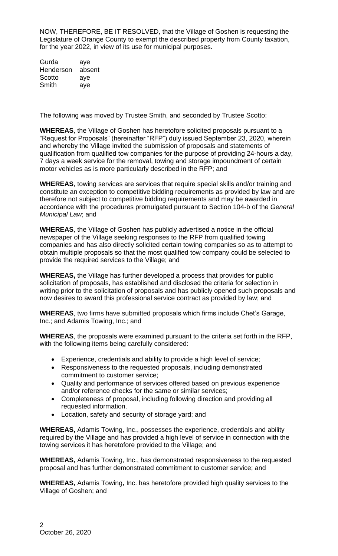NOW, THEREFORE, BE IT RESOLVED, that the Village of Goshen is requesting the Legislature of Orange County to exempt the described property from County taxation, for the year 2022, in view of its use for municipal purposes.

Gurda aye Henderson absent Scotto aye Smith aye

The following was moved by Trustee Smith, and seconded by Trustee Scotto:

**WHEREAS**, the Village of Goshen has heretofore solicited proposals pursuant to a "Request for Proposals" (hereinafter "RFP") duly issued September 23, 2020, wherein and whereby the Village invited the submission of proposals and statements of qualification from qualified tow companies for the purpose of providing 24-hours a day, 7 days a week service for the removal, towing and storage impoundment of certain motor vehicles as is more particularly described in the RFP; and

**WHEREAS**, towing services are services that require special skills and/or training and constitute an exception to competitive bidding requirements as provided by law and are therefore not subject to competitive bidding requirements and may be awarded in accordance with the procedures promulgated pursuant to Section 104-b of the *General Municipal Law*; and

**WHEREAS**, the Village of Goshen has publicly advertised a notice in the official newspaper of the Village seeking responses to the RFP from qualified towing companies and has also directly solicited certain towing companies so as to attempt to obtain multiple proposals so that the most qualified tow company could be selected to provide the required services to the Village; and

**WHEREAS,** the Village has further developed a process that provides for public solicitation of proposals, has established and disclosed the criteria for selection in writing prior to the solicitation of proposals and has publicly opened such proposals and now desires to award this professional service contract as provided by law; and

**WHEREAS**, two firms have submitted proposals which firms include Chet's Garage, Inc.; and Adamis Towing, Inc.; and

**WHEREAS**, the proposals were examined pursuant to the criteria set forth in the RFP, with the following items being carefully considered:

- Experience, credentials and ability to provide a high level of service;
- Responsiveness to the requested proposals, including demonstrated commitment to customer service;
- Quality and performance of services offered based on previous experience and/or reference checks for the same or similar services;
- Completeness of proposal, including following direction and providing all requested information.
- Location, safety and security of storage yard; and

**WHEREAS,** Adamis Towing, Inc., possesses the experience, credentials and ability required by the Village and has provided a high level of service in connection with the towing services it has heretofore provided to the Village; and

**WHEREAS,** Adamis Towing, Inc., has demonstrated responsiveness to the requested proposal and has further demonstrated commitment to customer service; and

**WHEREAS,** Adamis Towing**,** Inc. has heretofore provided high quality services to the Village of Goshen; and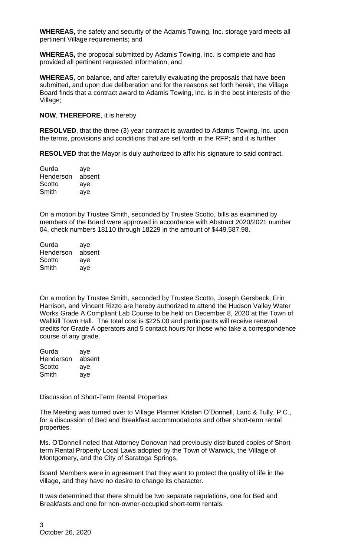**WHEREAS,** the safety and security of the Adamis Towing, Inc. storage yard meets all pertinent Village requirements; and

**WHEREAS,** the proposal submitted by Adamis Towing, Inc. is complete and has provided all pertinent requested information; and

**WHEREAS**, on balance, and after carefully evaluating the proposals that have been submitted, and upon due deliberation and for the reasons set forth herein, the Village Board finds that a contract award to Adamis Towing, Inc. is in the best interests of the Village;

## **NOW**, **THEREFORE**, it is hereby

**RESOLVED**, that the three (3) year contract is awarded to Adamis Towing, Inc. upon the terms, provisions and conditions that are set forth in the RFP; and it is further

**RESOLVED** that the Mayor is duly authorized to affix his signature to said contract.

| Gurda     | aye    |
|-----------|--------|
| Henderson | absent |
| Scotto    | aye    |
| Smith     | aye    |

On a motion by Trustee Smith, seconded by Trustee Scotto, bills as examined by members of the Board were approved in accordance with Abstract 2020/2021 number 04, check numbers 18110 through 18229 in the amount of \$449,587.98.

| aye    |
|--------|
| absent |
| aye    |
| aye    |
|        |

On a motion by Trustee Smith, seconded by Trustee Scotto, Joseph Gersbeck, Erin Harrison, and Vincent Rizzo are hereby authorized to attend the Hudson Valley Water Works Grade A Compliant Lab Course to be held on December 8, 2020 at the Town of Wallkill Town Hall. The total cost is \$225.00 and participants will receive renewal credits for Grade A operators and 5 contact hours for those who take a correspondence course of any grade.

| Gurda     | aye    |
|-----------|--------|
| Henderson | absent |
| Scotto    | aye    |
| Smith     | aye    |

Discussion of Short-Term Rental Properties

The Meeting was turned over to Village Planner Kristen O'Donnell, Lanc & Tully, P.C., for a discussion of Bed and Breakfast accommodations and other short-term rental properties.

Ms. O'Donnell noted that Attorney Donovan had previously distributed copies of Shortterm Rental Property Local Laws adopted by the Town of Warwick, the Village of Montgomery, and the City of Saratoga Springs.

Board Members were in agreement that they want to protect the quality of life in the village, and they have no desire to change its character.

It was determined that there should be two separate regulations, one for Bed and Breakfasts and one for non-owner-occupied short-term rentals.